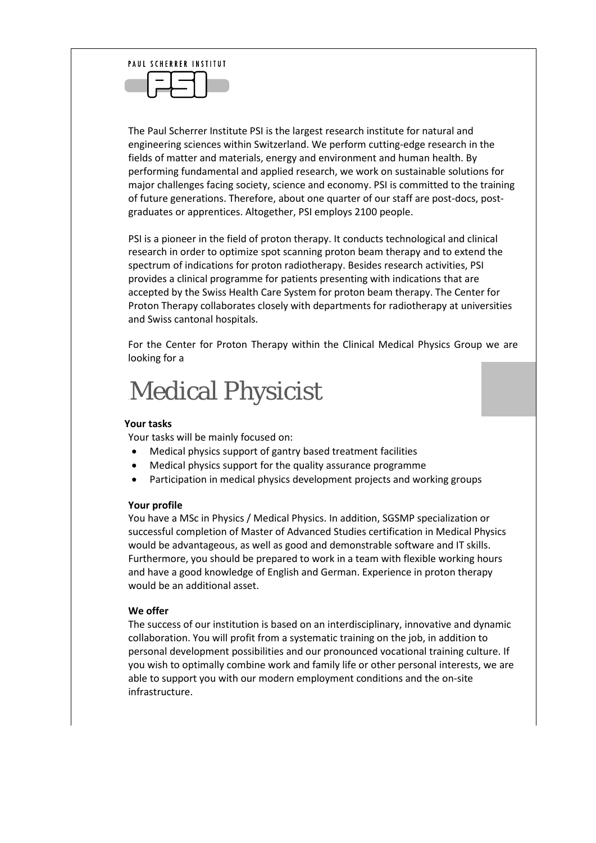

The Paul Scherrer Institute PSI is the largest research institute for natural and engineering sciences within Switzerland. We perform cutting-edge research in the fields of matter and materials, energy and environment and human health. By performing fundamental and applied research, we work on sustainable solutions for major challenges facing society, science and economy. PSI is committed to the training of future generations. Therefore, about one quarter of our staff are post-docs, postgraduates or apprentices. Altogether, PSI employs 2100 people.

PSI is a pioneer in the field of proton therapy. It conducts technological and clinical research in order to optimize spot scanning proton beam therapy and to extend the spectrum of indications for proton radiotherapy. Besides research activities, PSI provides a clinical programme for patients presenting with indications that are accepted by the Swiss Health Care System for proton beam therapy. The Center for Proton Therapy collaborates closely with departments for radiotherapy at universities and Swiss cantonal hospitals.

For the Center for Proton Therapy within the Clinical Medical Physics Group we are looking for a

## **Medical Physicist**

## **Your tasks**

Your tasks will be mainly focused on:

- Medical physics support of gantry based treatment facilities
- Medical physics support for the quality assurance programme
- Participation in medical physics development projects and working groups

## **Your profile**

You have a MSc in Physics / Medical Physics. In addition, SGSMP specialization or successful completion of Master of Advanced Studies certification in Medical Physics would be advantageous, as well as good and demonstrable software and IT skills. Furthermore, you should be prepared to work in a team with flexible working hours and have a good knowledge of English and German. Experience in proton therapy would be an additional asset.

## **We offer**

The success of our institution is based on an interdisciplinary, innovative and dynamic collaboration. You will profit from a systematic training on the job, in addition to personal development possibilities and our pronounced vocational training culture. If you wish to optimally combine work and family life or other personal interests, we are able to support you with our modern employment conditions and the on-site infrastructure.